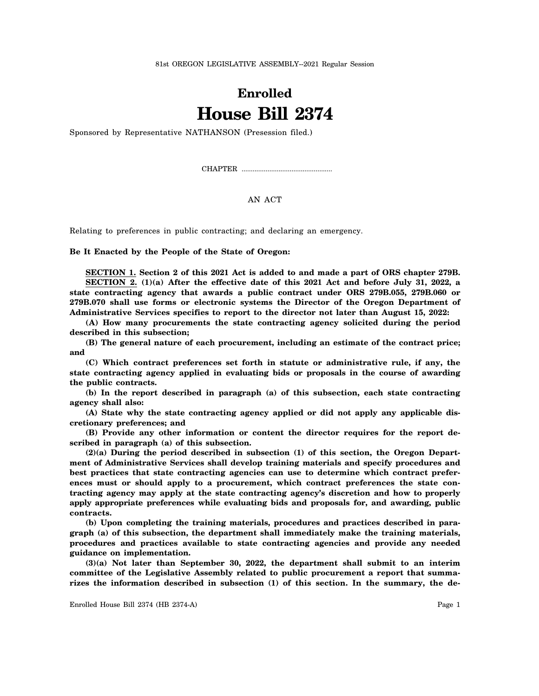81st OREGON LEGISLATIVE ASSEMBLY--2021 Regular Session

## **Enrolled House Bill 2374**

Sponsored by Representative NATHANSON (Presession filed.)

CHAPTER .................................................

## AN ACT

Relating to preferences in public contracting; and declaring an emergency.

**Be It Enacted by the People of the State of Oregon:**

**SECTION 1. Section 2 of this 2021 Act is added to and made a part of ORS chapter 279B. SECTION 2. (1)(a) After the effective date of this 2021 Act and before July 31, 2022, a state contracting agency that awards a public contract under ORS 279B.055, 279B.060 or 279B.070 shall use forms or electronic systems the Director of the Oregon Department of Administrative Services specifies to report to the director not later than August 15, 2022:**

**(A) How many procurements the state contracting agency solicited during the period described in this subsection;**

**(B) The general nature of each procurement, including an estimate of the contract price; and**

**(C) Which contract preferences set forth in statute or administrative rule, if any, the state contracting agency applied in evaluating bids or proposals in the course of awarding the public contracts.**

**(b) In the report described in paragraph (a) of this subsection, each state contracting agency shall also:**

**(A) State why the state contracting agency applied or did not apply any applicable discretionary preferences; and**

**(B) Provide any other information or content the director requires for the report described in paragraph (a) of this subsection.**

**(2)(a) During the period described in subsection (1) of this section, the Oregon Department of Administrative Services shall develop training materials and specify procedures and best practices that state contracting agencies can use to determine which contract preferences must or should apply to a procurement, which contract preferences the state contracting agency may apply at the state contracting agency's discretion and how to properly apply appropriate preferences while evaluating bids and proposals for, and awarding, public contracts.**

**(b) Upon completing the training materials, procedures and practices described in paragraph (a) of this subsection, the department shall immediately make the training materials, procedures and practices available to state contracting agencies and provide any needed guidance on implementation.**

**(3)(a) Not later than September 30, 2022, the department shall submit to an interim committee of the Legislative Assembly related to public procurement a report that summarizes the information described in subsection (1) of this section. In the summary, the de-**